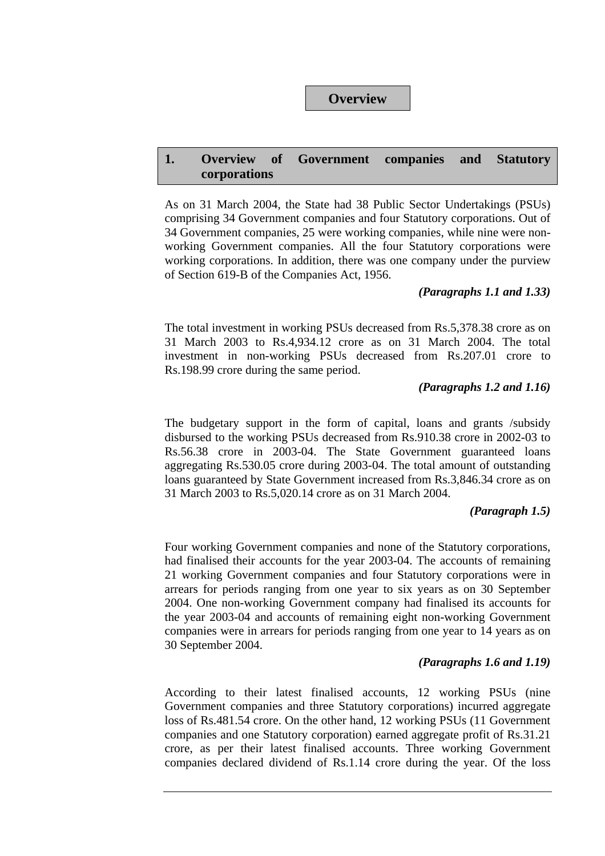### **Overview**

## **1. Overview of Government companies and Statutory corporations**

As on 31 March 2004, the State had 38 Public Sector Undertakings (PSUs) comprising 34 Government companies and four Statutory corporations. Out of 34 Government companies, 25 were working companies, while nine were nonworking Government companies. All the four Statutory corporations were working corporations. In addition, there was one company under the purview of Section 619-B of the Companies Act, 1956.

### *(Paragraphs 1.1 and 1.33)*

The total investment in working PSUs decreased from Rs.5,378.38 crore as on 31 March 2003 to Rs.4,934.12 crore as on 31 March 2004. The total investment in non-working PSUs decreased from Rs.207.01 crore to Rs.198.99 crore during the same period.

### *(Paragraphs 1.2 and 1.16)*

The budgetary support in the form of capital, loans and grants /subsidy disbursed to the working PSUs decreased from Rs.910.38 crore in 2002-03 to Rs.56.38 crore in 2003-04. The State Government guaranteed loans aggregating Rs.530.05 crore during 2003-04. The total amount of outstanding loans guaranteed by State Government increased from Rs.3,846.34 crore as on 31 March 2003 to Rs.5,020.14 crore as on 31 March 2004.

## *(Paragraph 1.5)*

Four working Government companies and none of the Statutory corporations, had finalised their accounts for the year 2003-04. The accounts of remaining 21 working Government companies and four Statutory corporations were in arrears for periods ranging from one year to six years as on 30 September 2004. One non-working Government company had finalised its accounts for the year 2003-04 and accounts of remaining eight non-working Government companies were in arrears for periods ranging from one year to 14 years as on 30 September 2004.

## *(Paragraphs 1.6 and 1.19)*

According to their latest finalised accounts, 12 working PSUs (nine Government companies and three Statutory corporations) incurred aggregate loss of Rs.481.54 crore. On the other hand, 12 working PSUs (11 Government companies and one Statutory corporation) earned aggregate profit of Rs.31.21 crore, as per their latest finalised accounts. Three working Government companies declared dividend of Rs.1.14 crore during the year. Of the loss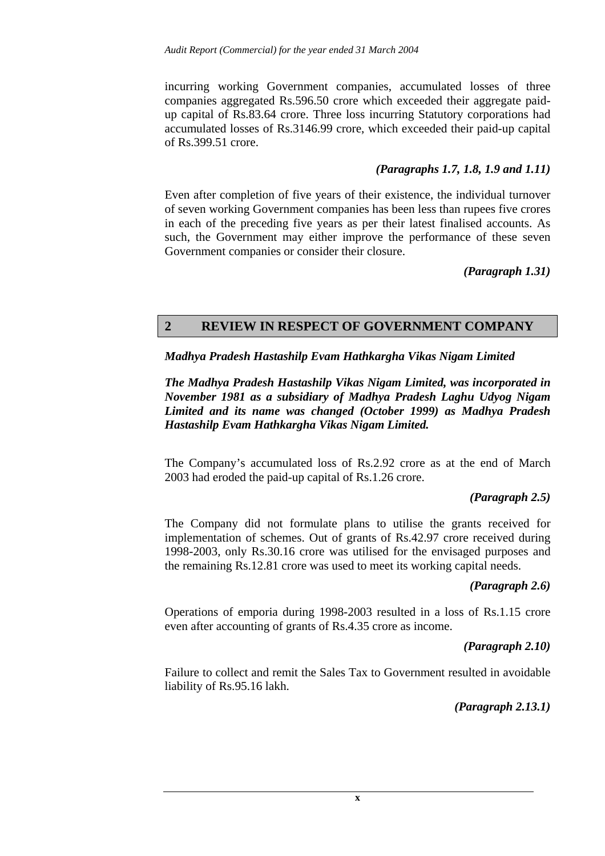incurring working Government companies, accumulated losses of three companies aggregated Rs.596.50 crore which exceeded their aggregate paidup capital of Rs.83.64 crore. Three loss incurring Statutory corporations had accumulated losses of Rs.3146.99 crore, which exceeded their paid-up capital of Rs.399.51 crore.

## *(Paragraphs 1.7, 1.8, 1.9 and 1.11)*

Even after completion of five years of their existence, the individual turnover of seven working Government companies has been less than rupees five crores in each of the preceding five years as per their latest finalised accounts. As such, the Government may either improve the performance of these seven Government companies or consider their closure.

*(Paragraph 1.31)* 

# **2 REVIEW IN RESPECT OF GOVERNMENT COMPANY**

### *Madhya Pradesh Hastashilp Evam Hathkargha Vikas Nigam Limited*

*The Madhya Pradesh Hastashilp Vikas Nigam Limited, was incorporated in November 1981 as a subsidiary of Madhya Pradesh Laghu Udyog Nigam Limited and its name was changed (October 1999) as Madhya Pradesh Hastashilp Evam Hathkargha Vikas Nigam Limited.* 

The Company's accumulated loss of Rs.2.92 crore as at the end of March 2003 had eroded the paid-up capital of Rs.1.26 crore.

### *(Paragraph 2.5)*

The Company did not formulate plans to utilise the grants received for implementation of schemes. Out of grants of Rs.42.97 crore received during 1998-2003, only Rs.30.16 crore was utilised for the envisaged purposes and the remaining Rs.12.81 crore was used to meet its working capital needs.

### *(Paragraph 2.6)*

Operations of emporia during 1998-2003 resulted in a loss of Rs.1.15 crore even after accounting of grants of Rs.4.35 crore as income.

### *(Paragraph 2.10)*

Failure to collect and remit the Sales Tax to Government resulted in avoidable liability of Rs.95.16 lakh.

## *(Paragraph 2.13.1)*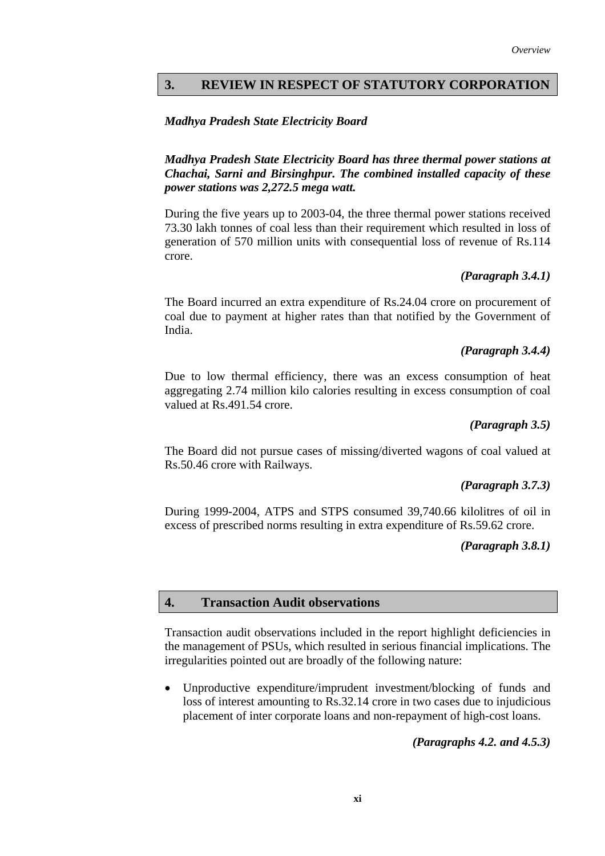## **3. REVIEW IN RESPECT OF STATUTORY CORPORATION**

### *Madhya Pradesh State Electricity Board*

*Madhya Pradesh State Electricity Board has three thermal power stations at Chachai, Sarni and Birsinghpur. The combined installed capacity of these power stations was 2,272.5 mega watt.* 

During the five years up to 2003-04, the three thermal power stations received 73.30 lakh tonnes of coal less than their requirement which resulted in loss of generation of 570 million units with consequential loss of revenue of Rs.114 crore.

### *(Paragraph 3.4.1)*

The Board incurred an extra expenditure of Rs.24.04 crore on procurement of coal due to payment at higher rates than that notified by the Government of India.

### *(Paragraph 3.4.4)*

Due to low thermal efficiency, there was an excess consumption of heat aggregating 2.74 million kilo calories resulting in excess consumption of coal valued at Rs.491.54 crore.

#### *(Paragraph 3.5)*

The Board did not pursue cases of missing/diverted wagons of coal valued at Rs.50.46 crore with Railways.

### *(Paragraph 3.7.3)*

During 1999-2004, ATPS and STPS consumed 39,740.66 kilolitres of oil in excess of prescribed norms resulting in extra expenditure of Rs.59.62 crore.

#### *(Paragraph 3.8.1)*

### **4. Transaction Audit observations**

Transaction audit observations included in the report highlight deficiencies in the management of PSUs, which resulted in serious financial implications. The irregularities pointed out are broadly of the following nature:

Unproductive expenditure/imprudent investment/blocking of funds and loss of interest amounting to Rs.32.14 crore in two cases due to injudicious placement of inter corporate loans and non-repayment of high-cost loans.

### *(Paragraphs 4.2. and 4.5.3)*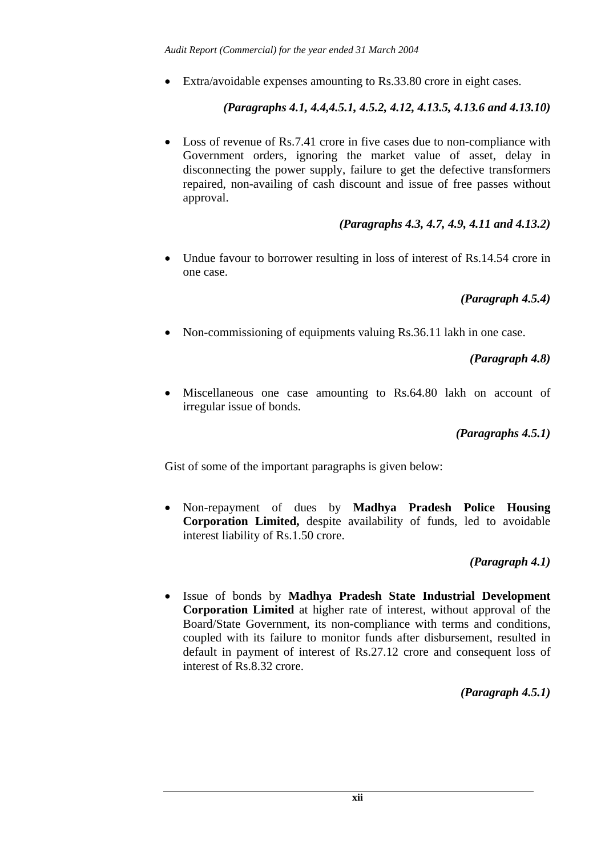• Extra/avoidable expenses amounting to Rs.33.80 crore in eight cases.

*(Paragraphs 4.1, 4.4,4.5.1, 4.5.2, 4.12, 4.13.5, 4.13.6 and 4.13.10)*

• Loss of revenue of Rs.7.41 crore in five cases due to non-compliance with Government orders, ignoring the market value of asset, delay in disconnecting the power supply, failure to get the defective transformers repaired, non-availing of cash discount and issue of free passes without approval.

# *(Paragraphs 4.3, 4.7, 4.9, 4.11 and 4.13.2)*

• Undue favour to borrower resulting in loss of interest of Rs.14.54 crore in one case.

# *(Paragraph 4.5.4)*

• Non-commissioning of equipments valuing Rs.36.11 lakh in one case.

*(Paragraph 4.8)*

• Miscellaneous one case amounting to Rs.64.80 lakh on account of irregular issue of bonds.

## *(Paragraphs 4.5.1)*

Gist of some of the important paragraphs is given below:

• Non-repayment of dues by **Madhya Pradesh Police Housing Corporation Limited,** despite availability of funds, led to avoidable interest liability of Rs.1.50 crore.

## *(Paragraph 4.1)*

• Issue of bonds by **Madhya Pradesh State Industrial Development Corporation Limited** at higher rate of interest, without approval of the Board/State Government, its non-compliance with terms and conditions, coupled with its failure to monitor funds after disbursement, resulted in default in payment of interest of Rs.27.12 crore and consequent loss of interest of Rs.8.32 crore.

## *(Paragraph 4.5.1)*